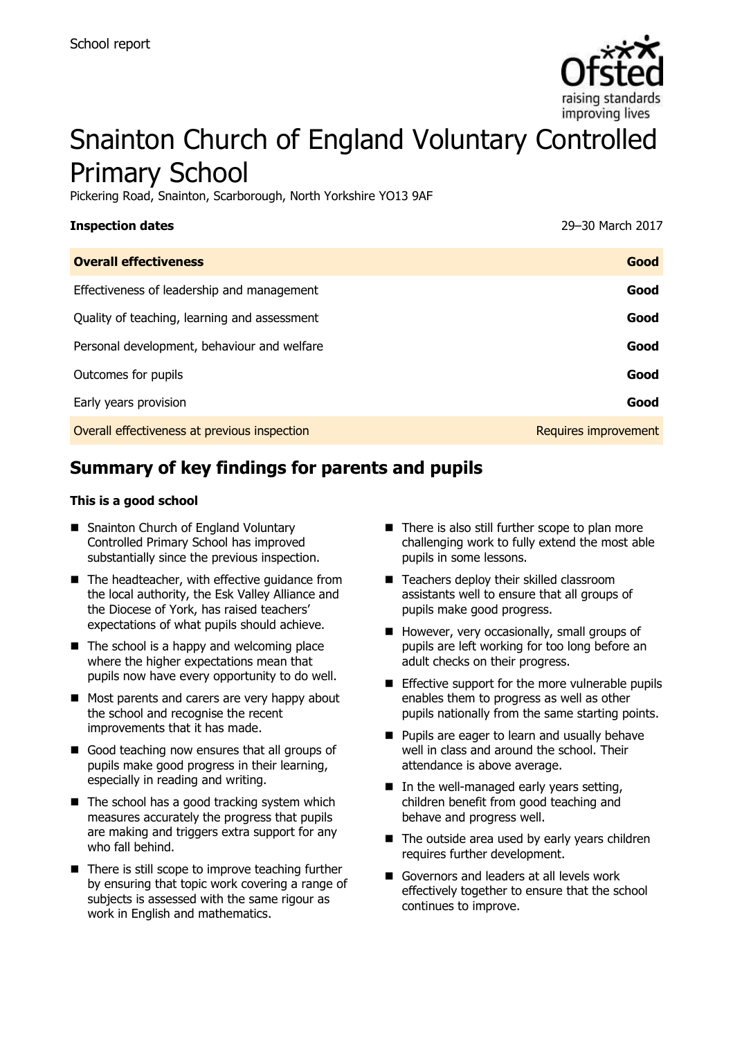

# Snainton Church of England Voluntary Controlled Primary School

Pickering Road, Snainton, Scarborough, North Yorkshire YO13 9AF

| <b>Inspection dates</b>                      | 29-30 March 2017     |
|----------------------------------------------|----------------------|
| <b>Overall effectiveness</b>                 | Good                 |
| Effectiveness of leadership and management   | Good                 |
| Quality of teaching, learning and assessment | Good                 |
| Personal development, behaviour and welfare  | Good                 |
| Outcomes for pupils                          | Good                 |
| Early years provision                        | Good                 |
| Overall effectiveness at previous inspection | Requires improvement |

# **Summary of key findings for parents and pupils**

#### **This is a good school**

- Snainton Church of England Voluntary Controlled Primary School has improved substantially since the previous inspection.
- The headteacher, with effective guidance from the local authority, the Esk Valley Alliance and the Diocese of York, has raised teachers' expectations of what pupils should achieve.
- $\blacksquare$  The school is a happy and welcoming place where the higher expectations mean that pupils now have every opportunity to do well.
- Most parents and carers are very happy about the school and recognise the recent improvements that it has made.
- Good teaching now ensures that all groups of pupils make good progress in their learning, especially in reading and writing.
- $\blacksquare$  The school has a good tracking system which measures accurately the progress that pupils are making and triggers extra support for any who fall behind.
- $\blacksquare$  There is still scope to improve teaching further by ensuring that topic work covering a range of subjects is assessed with the same rigour as work in English and mathematics.
- $\blacksquare$  There is also still further scope to plan more challenging work to fully extend the most able pupils in some lessons.
- Teachers deploy their skilled classroom assistants well to ensure that all groups of pupils make good progress.
- $\blacksquare$  However, very occasionally, small groups of pupils are left working for too long before an adult checks on their progress.
- **Effective support for the more vulnerable pupils** enables them to progress as well as other pupils nationally from the same starting points.
- **Pupils are eager to learn and usually behave** well in class and around the school. Their attendance is above average.
- $\blacksquare$  In the well-managed early years setting, children benefit from good teaching and behave and progress well.
- The outside area used by early years children requires further development.
- Governors and leaders at all levels work effectively together to ensure that the school continues to improve.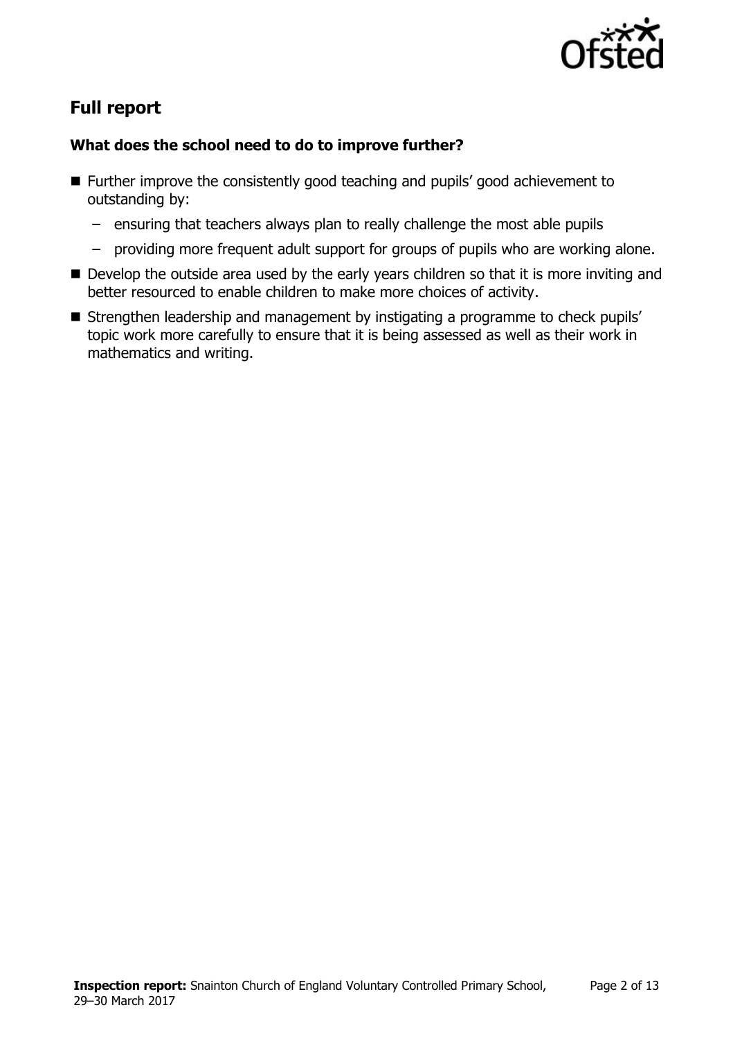

# **Full report**

### **What does the school need to do to improve further?**

- Further improve the consistently good teaching and pupils' good achievement to outstanding by:
	- ensuring that teachers always plan to really challenge the most able pupils
	- providing more frequent adult support for groups of pupils who are working alone.
- Develop the outside area used by the early years children so that it is more inviting and better resourced to enable children to make more choices of activity.
- Strengthen leadership and management by instigating a programme to check pupils' topic work more carefully to ensure that it is being assessed as well as their work in mathematics and writing.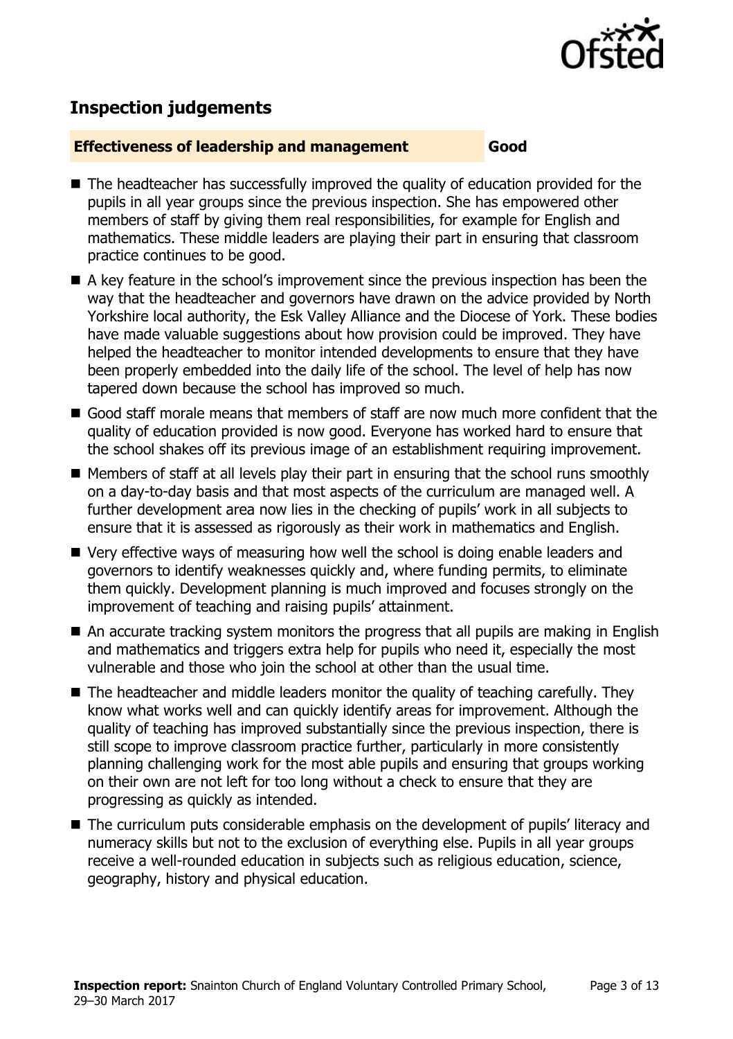

# **Inspection judgements**

#### **Effectiveness of leadership and management Good**

- The headteacher has successfully improved the quality of education provided for the pupils in all year groups since the previous inspection. She has empowered other members of staff by giving them real responsibilities, for example for English and mathematics. These middle leaders are playing their part in ensuring that classroom practice continues to be good.
- A key feature in the school's improvement since the previous inspection has been the way that the headteacher and governors have drawn on the advice provided by North Yorkshire local authority, the Esk Valley Alliance and the Diocese of York. These bodies have made valuable suggestions about how provision could be improved. They have helped the headteacher to monitor intended developments to ensure that they have been properly embedded into the daily life of the school. The level of help has now tapered down because the school has improved so much.
- Good staff morale means that members of staff are now much more confident that the quality of education provided is now good. Everyone has worked hard to ensure that the school shakes off its previous image of an establishment requiring improvement.
- **Members of staff at all levels play their part in ensuring that the school runs smoothly** on a day-to-day basis and that most aspects of the curriculum are managed well. A further development area now lies in the checking of pupils' work in all subjects to ensure that it is assessed as rigorously as their work in mathematics and English.
- Very effective ways of measuring how well the school is doing enable leaders and governors to identify weaknesses quickly and, where funding permits, to eliminate them quickly. Development planning is much improved and focuses strongly on the improvement of teaching and raising pupils' attainment.
- An accurate tracking system monitors the progress that all pupils are making in English and mathematics and triggers extra help for pupils who need it, especially the most vulnerable and those who join the school at other than the usual time.
- The headteacher and middle leaders monitor the quality of teaching carefully. They know what works well and can quickly identify areas for improvement. Although the quality of teaching has improved substantially since the previous inspection, there is still scope to improve classroom practice further, particularly in more consistently planning challenging work for the most able pupils and ensuring that groups working on their own are not left for too long without a check to ensure that they are progressing as quickly as intended.
- The curriculum puts considerable emphasis on the development of pupils' literacy and numeracy skills but not to the exclusion of everything else. Pupils in all year groups receive a well-rounded education in subjects such as religious education, science, geography, history and physical education.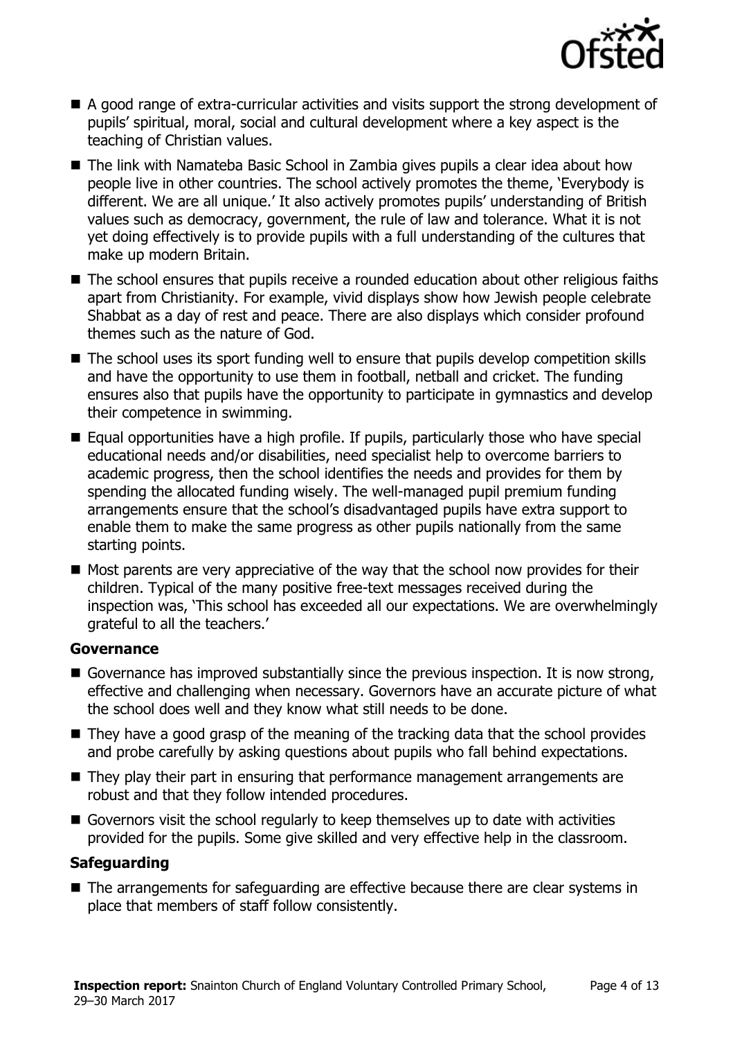

- A good range of extra-curricular activities and visits support the strong development of pupils' spiritual, moral, social and cultural development where a key aspect is the teaching of Christian values.
- The link with Namateba Basic School in Zambia gives pupils a clear idea about how people live in other countries. The school actively promotes the theme, 'Everybody is different. We are all unique.' It also actively promotes pupils' understanding of British values such as democracy, government, the rule of law and tolerance. What it is not yet doing effectively is to provide pupils with a full understanding of the cultures that make up modern Britain.
- The school ensures that pupils receive a rounded education about other religious faiths apart from Christianity. For example, vivid displays show how Jewish people celebrate Shabbat as a day of rest and peace. There are also displays which consider profound themes such as the nature of God.
- The school uses its sport funding well to ensure that pupils develop competition skills and have the opportunity to use them in football, netball and cricket. The funding ensures also that pupils have the opportunity to participate in gymnastics and develop their competence in swimming.
- Equal opportunities have a high profile. If pupils, particularly those who have special educational needs and/or disabilities, need specialist help to overcome barriers to academic progress, then the school identifies the needs and provides for them by spending the allocated funding wisely. The well-managed pupil premium funding arrangements ensure that the school's disadvantaged pupils have extra support to enable them to make the same progress as other pupils nationally from the same starting points.
- $\blacksquare$  Most parents are very appreciative of the way that the school now provides for their children. Typical of the many positive free-text messages received during the inspection was, 'This school has exceeded all our expectations. We are overwhelmingly grateful to all the teachers.'

#### **Governance**

- Governance has improved substantially since the previous inspection. It is now strong, effective and challenging when necessary. Governors have an accurate picture of what the school does well and they know what still needs to be done.
- They have a good grasp of the meaning of the tracking data that the school provides and probe carefully by asking questions about pupils who fall behind expectations.
- They play their part in ensuring that performance management arrangements are robust and that they follow intended procedures.
- Governors visit the school regularly to keep themselves up to date with activities provided for the pupils. Some give skilled and very effective help in the classroom.

### **Safeguarding**

■ The arrangements for safeguarding are effective because there are clear systems in place that members of staff follow consistently.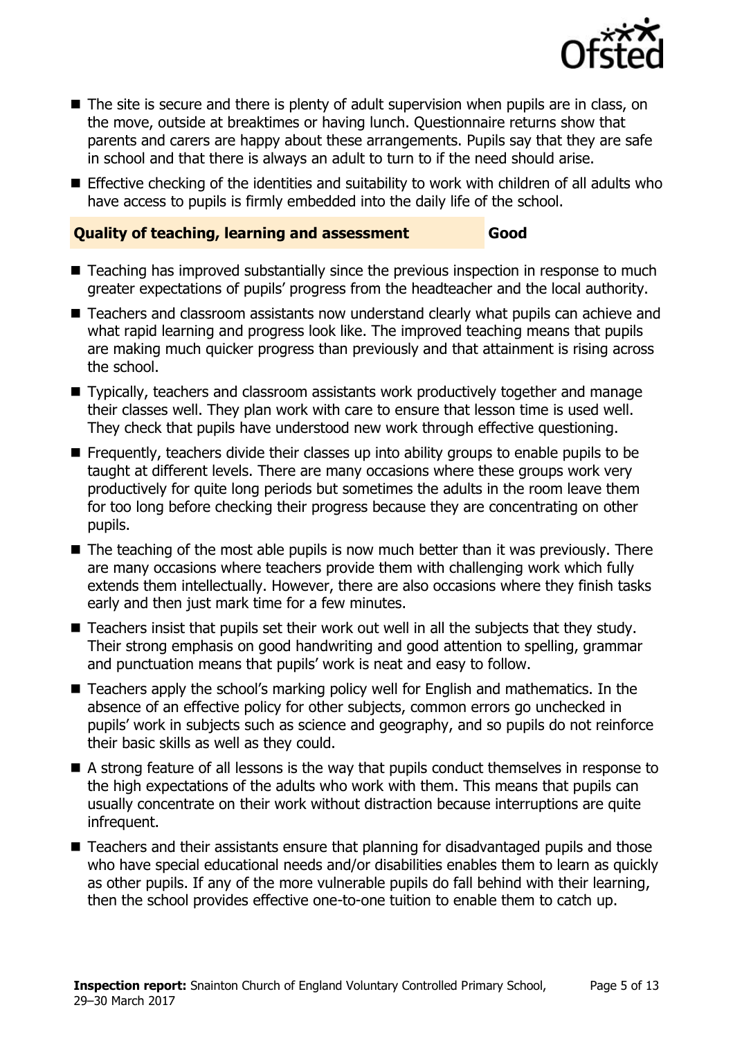

- The site is secure and there is plenty of adult supervision when pupils are in class, on the move, outside at breaktimes or having lunch. Questionnaire returns show that parents and carers are happy about these arrangements. Pupils say that they are safe in school and that there is always an adult to turn to if the need should arise.
- **Effective checking of the identities and suitability to work with children of all adults who** have access to pupils is firmly embedded into the daily life of the school.

#### **Quality of teaching, learning and assessment Good**

- Teaching has improved substantially since the previous inspection in response to much greater expectations of pupils' progress from the headteacher and the local authority.
- Teachers and classroom assistants now understand clearly what pupils can achieve and what rapid learning and progress look like. The improved teaching means that pupils are making much quicker progress than previously and that attainment is rising across the school.
- Typically, teachers and classroom assistants work productively together and manage their classes well. They plan work with care to ensure that lesson time is used well. They check that pupils have understood new work through effective questioning.
- **Figuently, teachers divide their classes up into ability groups to enable pupils to be** taught at different levels. There are many occasions where these groups work very productively for quite long periods but sometimes the adults in the room leave them for too long before checking their progress because they are concentrating on other pupils.
- $\blacksquare$  The teaching of the most able pupils is now much better than it was previously. There are many occasions where teachers provide them with challenging work which fully extends them intellectually. However, there are also occasions where they finish tasks early and then just mark time for a few minutes.
- Teachers insist that pupils set their work out well in all the subjects that they study. Their strong emphasis on good handwriting and good attention to spelling, grammar and punctuation means that pupils' work is neat and easy to follow.
- Teachers apply the school's marking policy well for English and mathematics. In the absence of an effective policy for other subjects, common errors go unchecked in pupils' work in subjects such as science and geography, and so pupils do not reinforce their basic skills as well as they could.
- A strong feature of all lessons is the way that pupils conduct themselves in response to the high expectations of the adults who work with them. This means that pupils can usually concentrate on their work without distraction because interruptions are quite infrequent.
- Teachers and their assistants ensure that planning for disadvantaged pupils and those who have special educational needs and/or disabilities enables them to learn as quickly as other pupils. If any of the more vulnerable pupils do fall behind with their learning, then the school provides effective one-to-one tuition to enable them to catch up.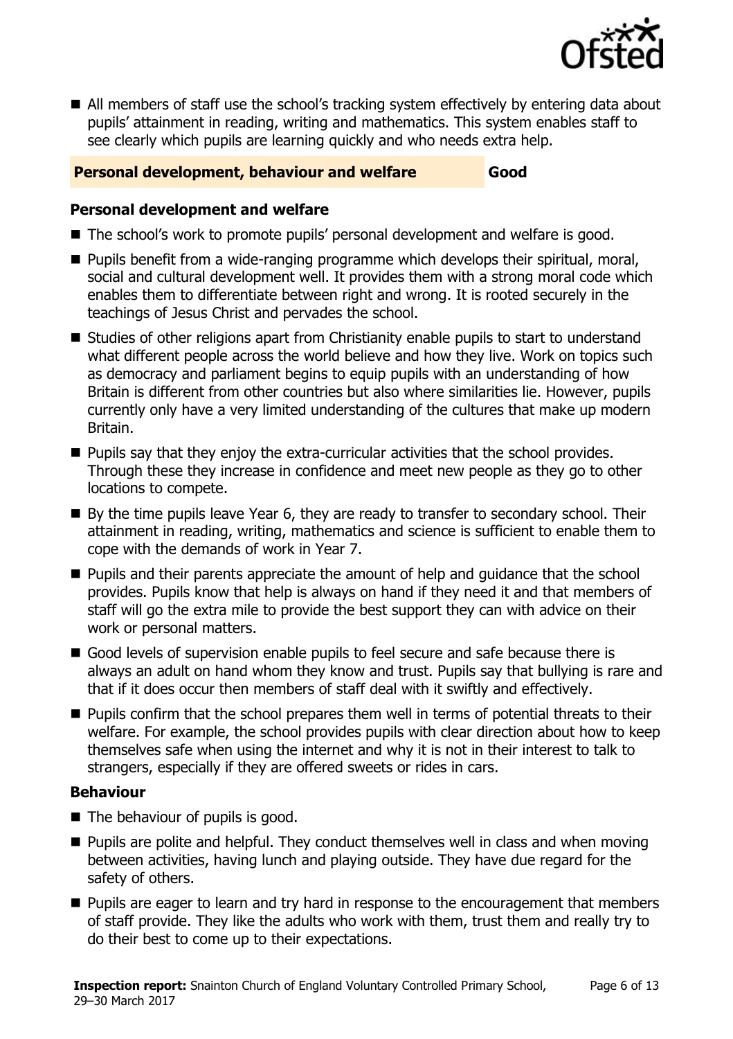

 All members of staff use the school's tracking system effectively by entering data about pupils' attainment in reading, writing and mathematics. This system enables staff to see clearly which pupils are learning quickly and who needs extra help.

#### **Personal development, behaviour and welfare Good**

#### **Personal development and welfare**

- The school's work to promote pupils' personal development and welfare is good.
- **Pupils benefit from a wide-ranging programme which develops their spiritual, moral,** social and cultural development well. It provides them with a strong moral code which enables them to differentiate between right and wrong. It is rooted securely in the teachings of Jesus Christ and pervades the school.
- Studies of other religions apart from Christianity enable pupils to start to understand what different people across the world believe and how they live. Work on topics such as democracy and parliament begins to equip pupils with an understanding of how Britain is different from other countries but also where similarities lie. However, pupils currently only have a very limited understanding of the cultures that make up modern Britain.
- $\blacksquare$  Pupils say that they enjoy the extra-curricular activities that the school provides. Through these they increase in confidence and meet new people as they go to other locations to compete.
- By the time pupils leave Year 6, they are ready to transfer to secondary school. Their attainment in reading, writing, mathematics and science is sufficient to enable them to cope with the demands of work in Year 7.
- **Pupils and their parents appreciate the amount of help and quidance that the school** provides. Pupils know that help is always on hand if they need it and that members of staff will go the extra mile to provide the best support they can with advice on their work or personal matters.
- Good levels of supervision enable pupils to feel secure and safe because there is always an adult on hand whom they know and trust. Pupils say that bullying is rare and that if it does occur then members of staff deal with it swiftly and effectively.
- **Pupils confirm that the school prepares them well in terms of potential threats to their** welfare. For example, the school provides pupils with clear direction about how to keep themselves safe when using the internet and why it is not in their interest to talk to strangers, especially if they are offered sweets or rides in cars.

### **Behaviour**

- The behaviour of pupils is good.
- $\blacksquare$  Pupils are polite and helpful. They conduct themselves well in class and when moving between activities, having lunch and playing outside. They have due regard for the safety of others.
- **Pupils are eager to learn and try hard in response to the encouragement that members** of staff provide. They like the adults who work with them, trust them and really try to do their best to come up to their expectations.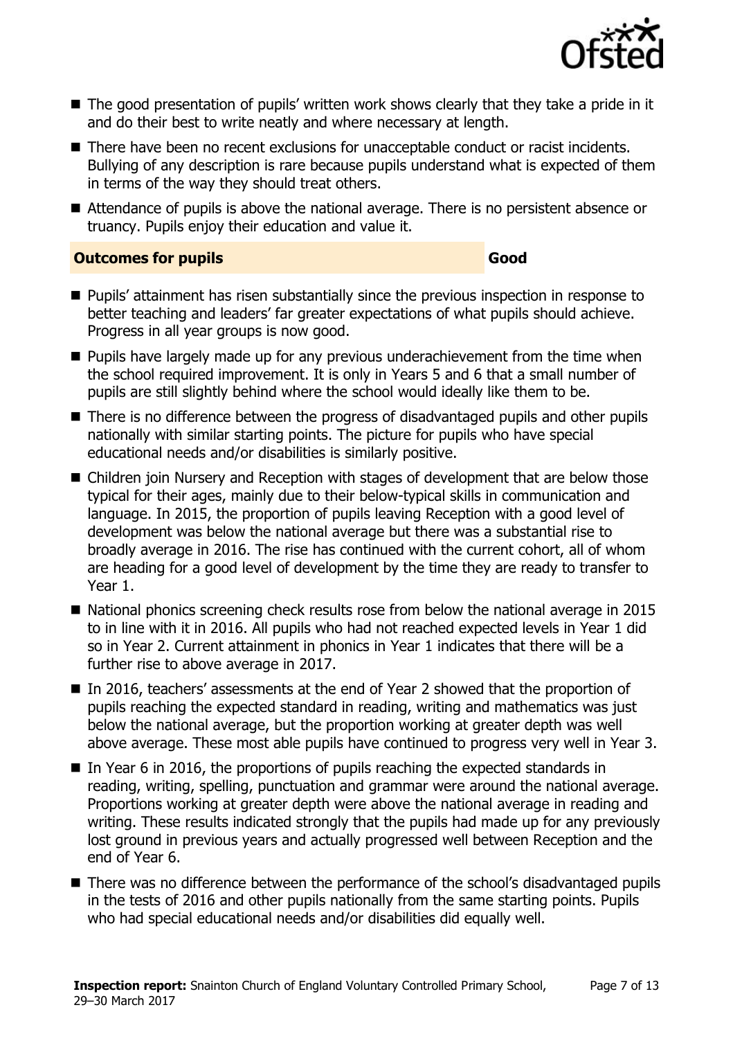

- The good presentation of pupils' written work shows clearly that they take a pride in it and do their best to write neatly and where necessary at length.
- There have been no recent exclusions for unacceptable conduct or racist incidents. Bullying of any description is rare because pupils understand what is expected of them in terms of the way they should treat others.
- Attendance of pupils is above the national average. There is no persistent absence or truancy. Pupils enjoy their education and value it.

#### **Outcomes for pupils Good**

- **Pupils' attainment has risen substantially since the previous inspection in response to** better teaching and leaders' far greater expectations of what pupils should achieve. Progress in all year groups is now good.
- $\blacksquare$  Pupils have largely made up for any previous underachievement from the time when the school required improvement. It is only in Years 5 and 6 that a small number of pupils are still slightly behind where the school would ideally like them to be.
- There is no difference between the progress of disadvantaged pupils and other pupils nationally with similar starting points. The picture for pupils who have special educational needs and/or disabilities is similarly positive.
- Children join Nursery and Reception with stages of development that are below those typical for their ages, mainly due to their below-typical skills in communication and language. In 2015, the proportion of pupils leaving Reception with a good level of development was below the national average but there was a substantial rise to broadly average in 2016. The rise has continued with the current cohort, all of whom are heading for a good level of development by the time they are ready to transfer to Year 1.
- National phonics screening check results rose from below the national average in 2015 to in line with it in 2016. All pupils who had not reached expected levels in Year 1 did so in Year 2. Current attainment in phonics in Year 1 indicates that there will be a further rise to above average in 2017.
- In 2016, teachers' assessments at the end of Year 2 showed that the proportion of pupils reaching the expected standard in reading, writing and mathematics was just below the national average, but the proportion working at greater depth was well above average. These most able pupils have continued to progress very well in Year 3.
- In Year 6 in 2016, the proportions of pupils reaching the expected standards in reading, writing, spelling, punctuation and grammar were around the national average. Proportions working at greater depth were above the national average in reading and writing. These results indicated strongly that the pupils had made up for any previously lost ground in previous years and actually progressed well between Reception and the end of Year 6.
- There was no difference between the performance of the school's disadvantaged pupils in the tests of 2016 and other pupils nationally from the same starting points. Pupils who had special educational needs and/or disabilities did equally well.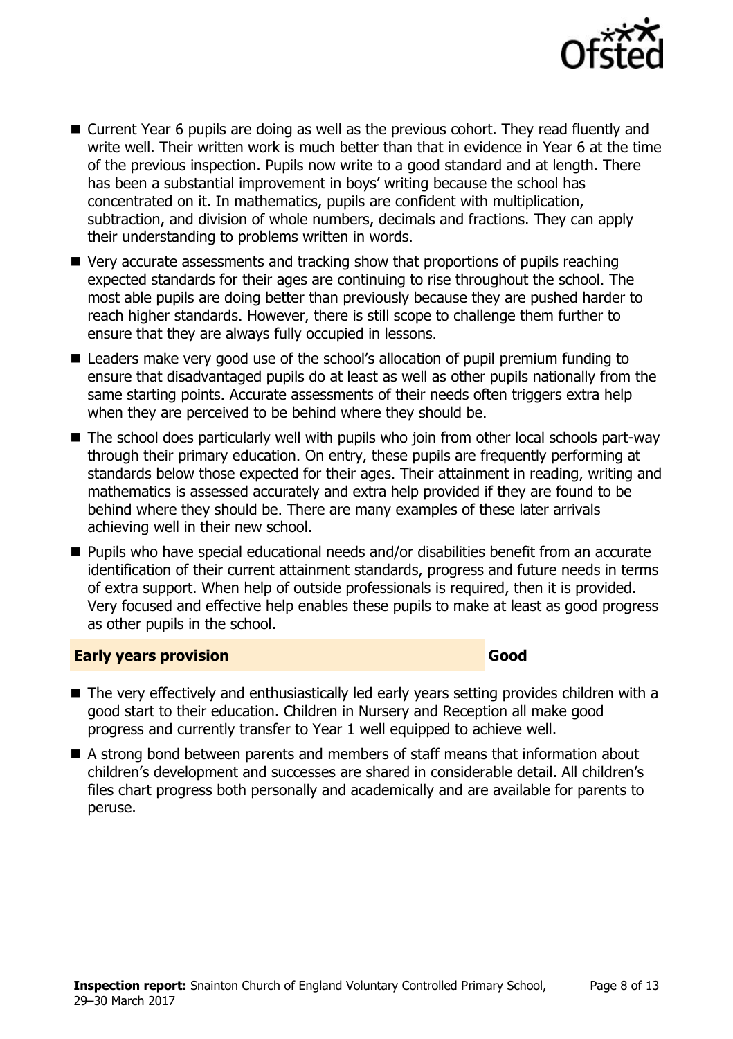

- Current Year 6 pupils are doing as well as the previous cohort. They read fluently and write well. Their written work is much better than that in evidence in Year 6 at the time of the previous inspection. Pupils now write to a good standard and at length. There has been a substantial improvement in boys' writing because the school has concentrated on it. In mathematics, pupils are confident with multiplication, subtraction, and division of whole numbers, decimals and fractions. They can apply their understanding to problems written in words.
- Very accurate assessments and tracking show that proportions of pupils reaching expected standards for their ages are continuing to rise throughout the school. The most able pupils are doing better than previously because they are pushed harder to reach higher standards. However, there is still scope to challenge them further to ensure that they are always fully occupied in lessons.
- Leaders make very good use of the school's allocation of pupil premium funding to ensure that disadvantaged pupils do at least as well as other pupils nationally from the same starting points. Accurate assessments of their needs often triggers extra help when they are perceived to be behind where they should be.
- The school does particularly well with pupils who join from other local schools part-way through their primary education. On entry, these pupils are frequently performing at standards below those expected for their ages. Their attainment in reading, writing and mathematics is assessed accurately and extra help provided if they are found to be behind where they should be. There are many examples of these later arrivals achieving well in their new school.
- Pupils who have special educational needs and/or disabilities benefit from an accurate identification of their current attainment standards, progress and future needs in terms of extra support. When help of outside professionals is required, then it is provided. Very focused and effective help enables these pupils to make at least as good progress as other pupils in the school.

#### **Early years provision Good Good**

- The very effectively and enthusiastically led early years setting provides children with a good start to their education. Children in Nursery and Reception all make good progress and currently transfer to Year 1 well equipped to achieve well.
- A strong bond between parents and members of staff means that information about children's development and successes are shared in considerable detail. All children's files chart progress both personally and academically and are available for parents to peruse.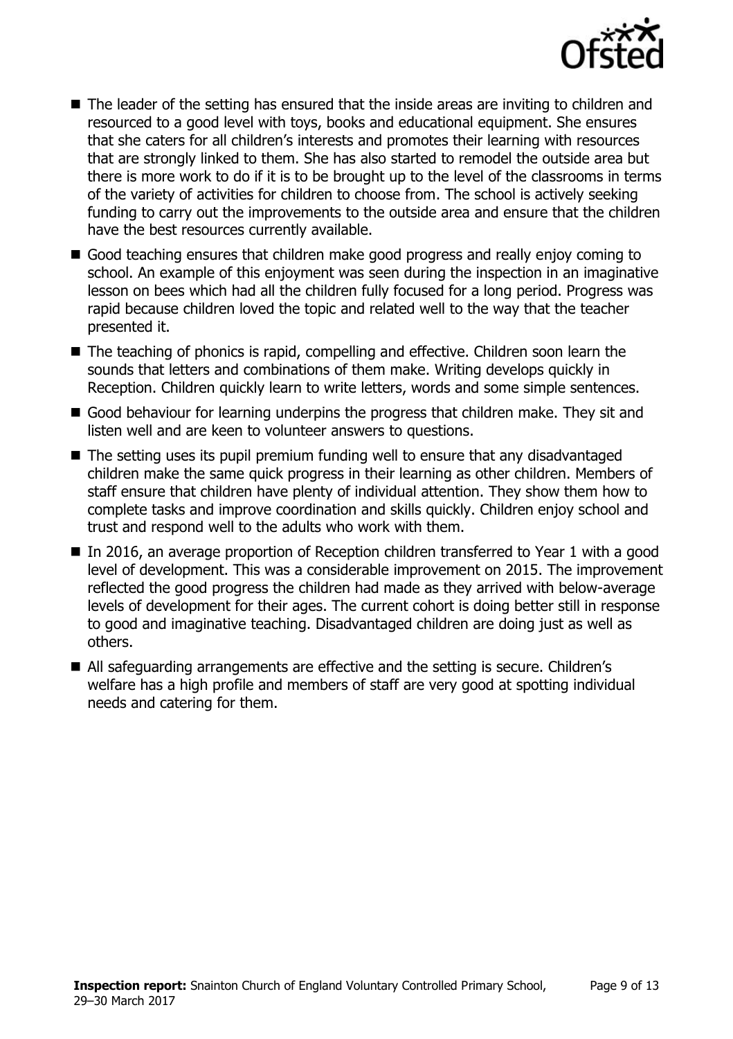

- The leader of the setting has ensured that the inside areas are inviting to children and resourced to a good level with toys, books and educational equipment. She ensures that she caters for all children's interests and promotes their learning with resources that are strongly linked to them. She has also started to remodel the outside area but there is more work to do if it is to be brought up to the level of the classrooms in terms of the variety of activities for children to choose from. The school is actively seeking funding to carry out the improvements to the outside area and ensure that the children have the best resources currently available.
- Good teaching ensures that children make good progress and really enjoy coming to school. An example of this enjoyment was seen during the inspection in an imaginative lesson on bees which had all the children fully focused for a long period. Progress was rapid because children loved the topic and related well to the way that the teacher presented it.
- The teaching of phonics is rapid, compelling and effective. Children soon learn the sounds that letters and combinations of them make. Writing develops quickly in Reception. Children quickly learn to write letters, words and some simple sentences.
- Good behaviour for learning underpins the progress that children make. They sit and listen well and are keen to volunteer answers to questions.
- The setting uses its pupil premium funding well to ensure that any disadvantaged children make the same quick progress in their learning as other children. Members of staff ensure that children have plenty of individual attention. They show them how to complete tasks and improve coordination and skills quickly. Children enjoy school and trust and respond well to the adults who work with them.
- In 2016, an average proportion of Reception children transferred to Year 1 with a good level of development. This was a considerable improvement on 2015. The improvement reflected the good progress the children had made as they arrived with below-average levels of development for their ages. The current cohort is doing better still in response to good and imaginative teaching. Disadvantaged children are doing just as well as others.
- All safeguarding arrangements are effective and the setting is secure. Children's welfare has a high profile and members of staff are very good at spotting individual needs and catering for them.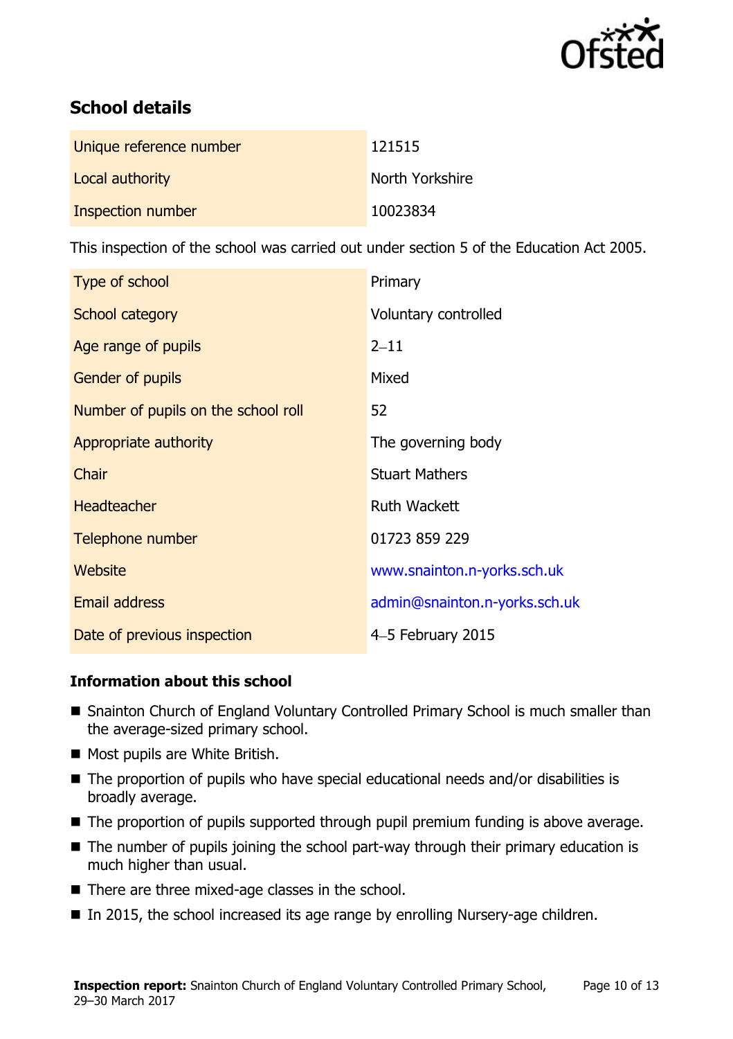

# **School details**

| Unique reference number | 121515          |
|-------------------------|-----------------|
| Local authority         | North Yorkshire |
| Inspection number       | 10023834        |

This inspection of the school was carried out under section 5 of the Education Act 2005.

| Type of school                      | Primary                       |
|-------------------------------------|-------------------------------|
| School category                     | Voluntary controlled          |
| Age range of pupils                 | $2 - 11$                      |
| <b>Gender of pupils</b>             | Mixed                         |
| Number of pupils on the school roll | 52                            |
| Appropriate authority               | The governing body            |
| Chair                               | <b>Stuart Mathers</b>         |
| <b>Headteacher</b>                  | <b>Ruth Wackett</b>           |
| Telephone number                    | 01723 859 229                 |
| Website                             | www.snainton.n-yorks.sch.uk   |
| <b>Email address</b>                | admin@snainton.n-yorks.sch.uk |
| Date of previous inspection         | 4-5 February 2015             |

### **Information about this school**

- Snainton Church of England Voluntary Controlled Primary School is much smaller than the average-sized primary school.
- Most pupils are White British.
- The proportion of pupils who have special educational needs and/or disabilities is broadly average.
- The proportion of pupils supported through pupil premium funding is above average.
- The number of pupils joining the school part-way through their primary education is much higher than usual.
- There are three mixed-age classes in the school.
- In 2015, the school increased its age range by enrolling Nursery-age children.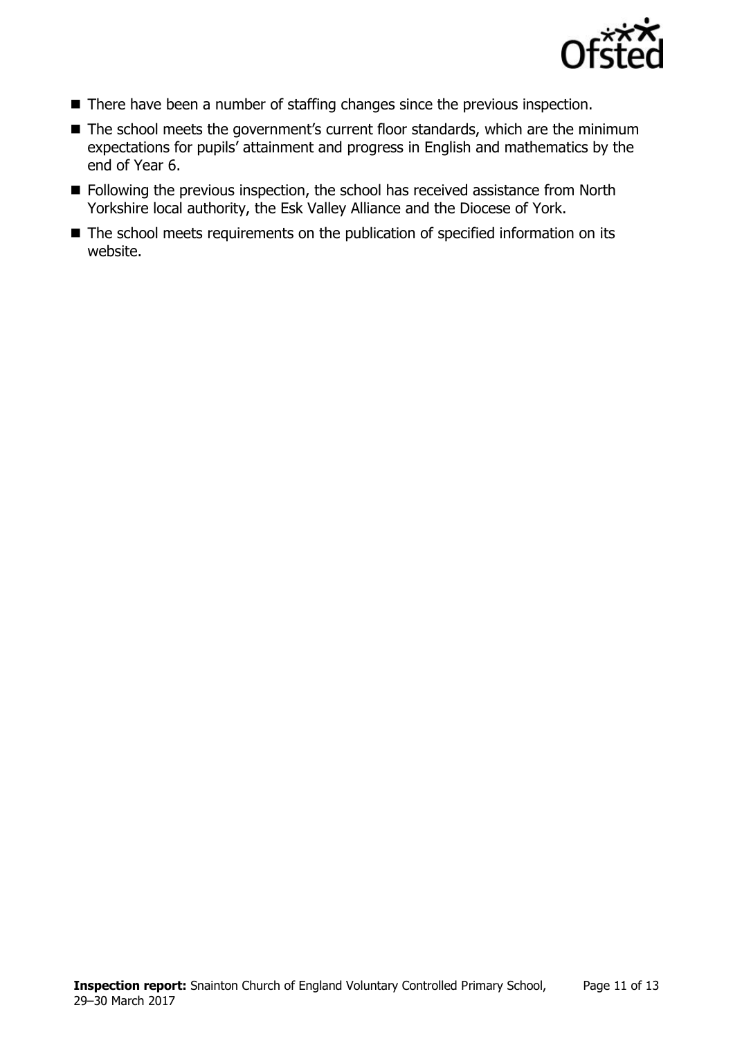

- There have been a number of staffing changes since the previous inspection.
- The school meets the government's current floor standards, which are the minimum expectations for pupils' attainment and progress in English and mathematics by the end of Year 6.
- Following the previous inspection, the school has received assistance from North Yorkshire local authority, the Esk Valley Alliance and the Diocese of York.
- The school meets requirements on the publication of specified information on its website.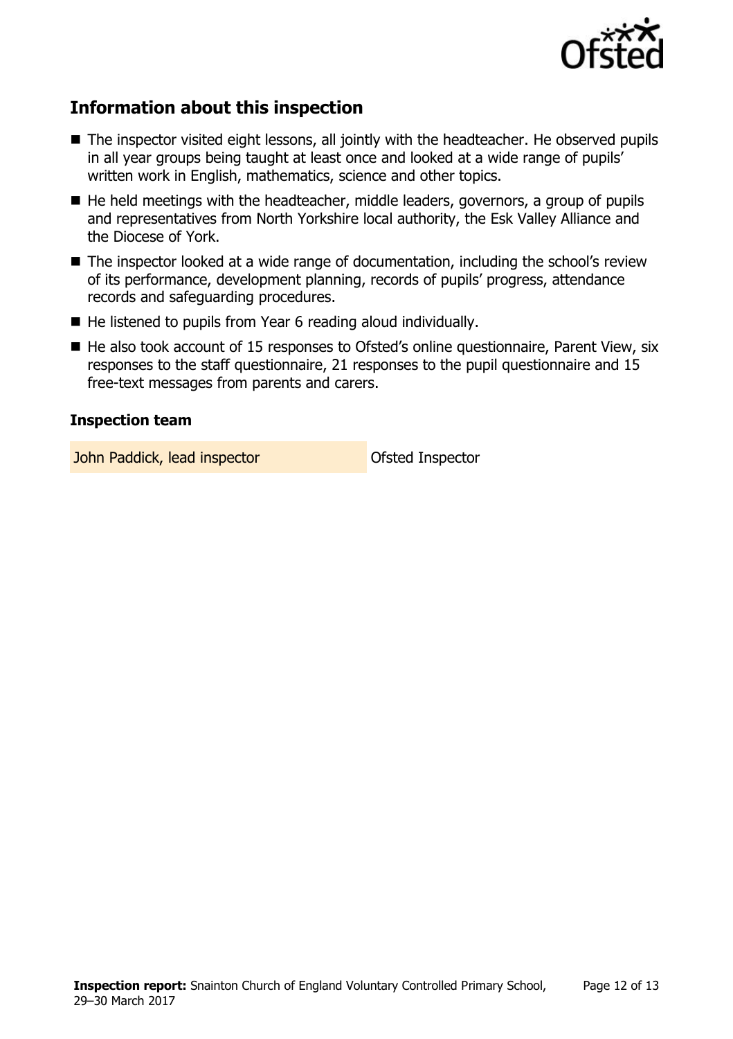

# **Information about this inspection**

- The inspector visited eight lessons, all jointly with the headteacher. He observed pupils in all year groups being taught at least once and looked at a wide range of pupils' written work in English, mathematics, science and other topics.
- $\blacksquare$  He held meetings with the headteacher, middle leaders, governors, a group of pupils and representatives from North Yorkshire local authority, the Esk Valley Alliance and the Diocese of York.
- The inspector looked at a wide range of documentation, including the school's review of its performance, development planning, records of pupils' progress, attendance records and safeguarding procedures.
- He listened to pupils from Year 6 reading aloud individually.
- $\blacksquare$  He also took account of 15 responses to Ofsted's online questionnaire, Parent View, six responses to the staff questionnaire, 21 responses to the pupil questionnaire and 15 free-text messages from parents and carers.

#### **Inspection team**

**John Paddick, lead inspector Constanting Ofsted Inspector**